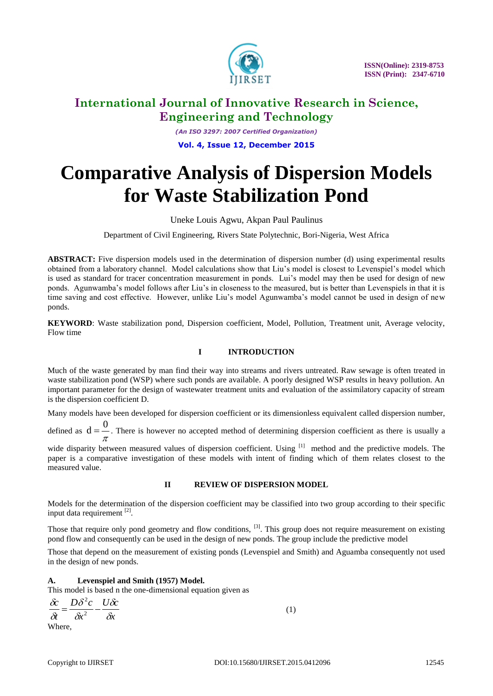

*(An ISO 3297: 2007 Certified Organization)* **Vol. 4, Issue 12, December 2015**

# **Comparative Analysis of Dispersion Models for Waste Stabilization Pond**

### Uneke Louis Agwu, Akpan Paul Paulinus

Department of Civil Engineering, Rivers State Polytechnic, Bori-Nigeria, West Africa

**ABSTRACT:** Five dispersion models used in the determination of dispersion number (d) using experimental results obtained from a laboratory channel. Model calculations show that Liu's model is closest to Levenspiel's model which is used as standard for tracer concentration measurement in ponds. Lui's model may then be used for design of new ponds. Agunwamba's model follows after Liu's in closeness to the measured, but is better than Levenspiels in that it is time saving and cost effective. However, unlike Liu's model Agunwamba's model cannot be used in design of new ponds.

**KEYWORD**: Waste stabilization pond, Dispersion coefficient, Model, Pollution, Treatment unit, Average velocity, Flow time

#### **I INTRODUCTION**

Much of the waste generated by man find their way into streams and rivers untreated. Raw sewage is often treated in waste stabilization pond (WSP) where such ponds are available. A poorly designed WSP results in heavy pollution. An important parameter for the design of wastewater treatment units and evaluation of the assimilatory capacity of stream is the dispersion coefficient D.

Many models have been developed for dispersion coefficient or its dimensionless equivalent called dispersion number,

defined as  $d = \frac{3\pi}{\pi}$  $d = \frac{0}{0}$ . There is however no accepted method of determining dispersion coefficient as there is usually a

wide disparity between measured values of dispersion coefficient. Using [1] method and the predictive models. The paper is a comparative investigation of these models with intent of finding which of them relates closest to the measured value.

#### **II REVIEW OF DISPERSION MODEL**

Models for the determination of the dispersion coefficient may be classified into two group according to their specific input data requirement [2].

Those that require only pond geometry and flow conditions, <sup>[3]</sup>. This group does not require measurement on existing pond flow and consequently can be used in the design of new ponds. The group include the predictive model

Those that depend on the measurement of existing ponds (Levenspiel and Smith) and Aguamba consequently not used in the design of new ponds.

#### **A. Levenspiel and Smith (1957) Model.**

This model is based n the one-dimensional equation given as

*x*  $U\delta c$ *x*  $D\delta^2 c$ *t c*  $\delta$  $\delta$  $\delta$ δ  $\delta\!i$  $\frac{\delta c}{s} = \frac{D\delta^2 c}{s^2} -$ 2 Where,

(1)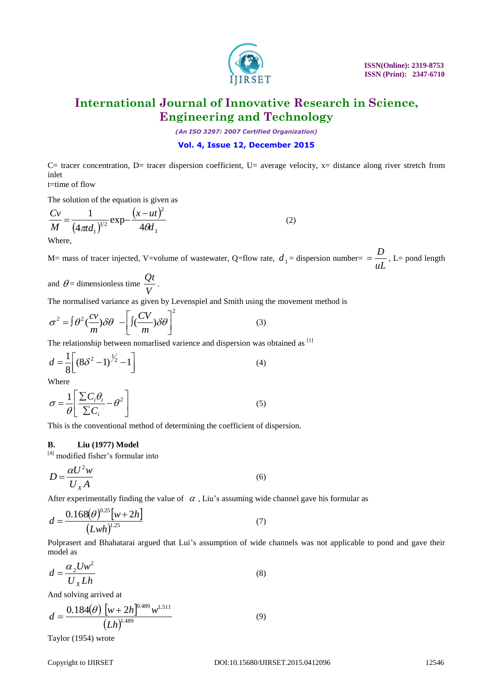

*(An ISO 3297: 2007 Certified Organization)*

#### **Vol. 4, Issue 12, December 2015**

C= tracer concentration, D= tracer dispersion coefficient, U= average velocity, x= distance along river stretch from inlet

t=time of flow

The solution of the equation is given as

$$
\frac{Cv}{M} = \frac{1}{(4\pi d_1)^{1/2}} \exp{-\frac{(x - ut)^2}{4\theta d_1}}
$$
(2)

M= mass of tracer injected, V=volume of wastewater, Q=flow rate,  $d_1$  = dispersion number= =  $\frac{D}{uL}$  $=\frac{D}{\overline{D}}$ , L= pond length

and 
$$
\theta
$$
 = dimensionless time  $\frac{Qt}{V}$ .

The normalised variance as given by Levenspiel and Smith using the movement method is

$$
\sigma^2 = \int \theta^2 \left(\frac{cv}{m}\right) \delta\theta - \left[\int \left(\frac{CV}{m}\right) \delta\theta\right]^2 \tag{3}
$$

The relationship between nomarlised varience and dispersion was obtained as [1]

$$
d = \frac{1}{8} \left[ \left( 8\delta^2 - 1 \right)^{\frac{1}{2}} - 1 \right]
$$
 (4)

Where

$$
\sigma = \frac{1}{\theta} \left[ \frac{\sum C_i \theta_i}{\sum C_i} - \theta^2 \right]
$$
 (5)

This is the conventional method of determining the coefficient of dispersion.

#### **B. Liu (1977) Model**

 $[4]$  modified fisher's formular into

$$
D = \frac{\alpha U^2 w}{U_X A} \tag{6}
$$

After experimentally finding the value of  $\alpha$ , Liu's assuming wide channel gave his formular as

$$
d = \frac{0.168(\theta)^{0.25}[w+2h]}{(Lwh)^{1.25}}
$$
 (7)

Polprasert and Bhahatarai argued that Lui's assumption of wide channels was not applicable to pond and gave their model as

$$
d = \frac{\alpha_2 U w^2}{U_x L h}
$$
 (8)

And solving arrived at

$$
d = \frac{0.184(\theta) \left[ w + 2h \right]^{0.489} w^{1.511}}{(Lh)^{1.489}}
$$
\n(9)

Taylor (1954) wrote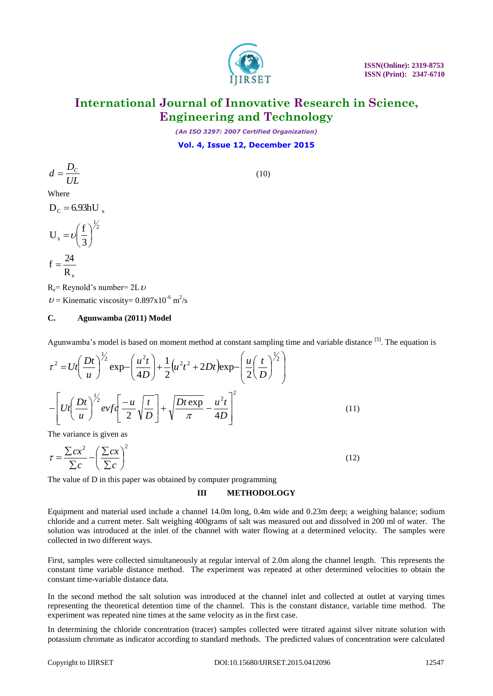

*(An ISO 3297: 2007 Certified Organization)*

**Vol. 4, Issue 12, December 2015**

$$
d=\frac{D_c}{UL}
$$

(10)

Where

 $D_C = 6.93 hU_x$ 

$$
U_x = v \left(\frac{f}{3}\right)^{\frac{1}{2}}
$$

$$
f = \frac{24}{R_e}
$$

 $R_e$ = Reynold's number= 2L  $\nu$  $U =$  Kinematic viscosity= 0.897x10<sup>-6</sup> m<sup>2</sup>/s

#### **C. Agunwamba (2011) Model**

Agunwamba's model is based on moment method at constant sampling time and variable distance <sup>[5]</sup>. The equation is

$$
\tau^2 = Ut \left(\frac{Dt}{u}\right)^{\frac{1}{2}} \exp\left(\frac{u^2t}{4D}\right) + \frac{1}{2} \left(u^2t^2 + 2Dt\right) \exp\left(\frac{u}{2}\left(\frac{t}{D}\right)^{\frac{1}{2}}\right)
$$

$$
-\left[Ut\left(\frac{Dt}{u}\right)^{\frac{1}{2}} ev f \left(\frac{-u}{2}\sqrt{\frac{t}{D}}\right) + \sqrt{\frac{Dt \exp}{\pi}} - \frac{u^2t}{4D}\right]^2 \tag{11}
$$

The variance is given as

$$
\tau = \frac{\sum cx^2}{\sum c} - \left(\frac{\sum cx}{\sum c}\right)^2\tag{12}
$$

The value of D in this paper was obtained by computer programming

#### **III METHODOLOGY**

Equipment and material used include a channel 14.0m long, 0.4m wide and 0.23m deep; a weighing balance; sodium chloride and a current meter. Salt weighing 400grams of salt was measured out and dissolved in 200 ml of water. The solution was introduced at the inlet of the channel with water flowing at a determined velocity. The samples were collected in two different ways.

First, samples were collected simultaneously at regular interval of 2.0m along the channel length. This represents the constant time variable distance method. The experiment was repeated at other determined velocities to obtain the constant time-variable distance data.

In the second method the salt solution was introduced at the channel inlet and collected at outlet at varying times representing the theoretical detention time of the channel. This is the constant distance, variable time method. The experiment was repeated nine times at the same velocity as in the first case.

In determining the chloride concentration (tracer) samples collected were titrated against silver nitrate solution with potassium chromate as indicator according to standard methods. The predicted values of concentration were calculated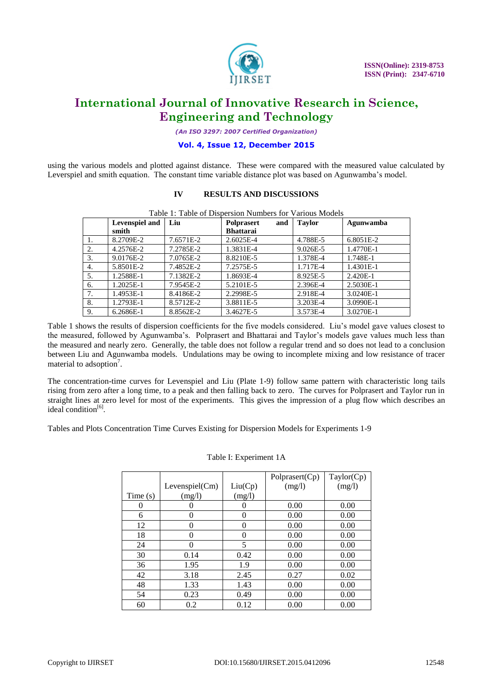

*(An ISO 3297: 2007 Certified Organization)*

#### **Vol. 4, Issue 12, December 2015**

using the various models and plotted against distance. These were compared with the measured value calculated by Leverspiel and smith equation. The constant time variable distance plot was based on Agunwamba's model.

#### **IV RESULTS AND DISCUSSIONS**

|    | <b>Levenspiel and</b><br>smith | Liu       | and<br><b>Polprasert</b><br><b>Bhattarai</b> | <b>Taylor</b> | Agunwamba |  |
|----|--------------------------------|-----------|----------------------------------------------|---------------|-----------|--|
| 1. | 8.2709E-2                      | 7.6571E-2 | 2.6025E-4                                    | 4.788E-5      | 6.8051E-2 |  |
| 2. | 4.2576E-2                      | 7.2785E-2 | 1.3831E-4                                    | 9.026E-5      | 1.4770E-1 |  |
| 3. | 9.0176E-2                      | 7.0765E-2 | 8.8210E-5                                    | 1.378E-4      | 1.748E-1  |  |
| 4. | 5.8501E-2                      | 7.4852E-2 | 7.2575E-5                                    | 1.717E-4      | 1.4301E-1 |  |
| 5. | 1.2588E-1                      | 7.1382E-2 | 1.8693E-4                                    | 8.925E-5      | 2.420E-1  |  |
| 6. | 1.2025E-1                      | 7.9545E-2 | 5.2101E-5                                    | 2.396E-4      | 2.5030E-1 |  |
| 7. | 1.4953E-1                      | 8.4186E-2 | 2.2998E-5                                    | 2.918E-4      | 3.0240E-1 |  |
| 8. | 1.2793E-1                      | 8.5712E-2 | 3.8811E-5                                    | 3.203E-4      | 3.0990E-1 |  |
| 9. | 6.2686E-1                      | 8.8562E-2 | 3.4627E-5                                    | 3.573E-4      | 3.0270E-1 |  |

Table 1: Table of Dispersion Numbers for Various Models

Table 1 shows the results of dispersion coefficients for the five models considered. Liu's model gave values closest to the measured, followed by Agunwamba's. Polprasert and Bhattarai and Taylor's models gave values much less than the measured and nearly zero. Generally, the table does not follow a regular trend and so does not lead to a conclusion between Liu and Agunwamba models. Undulations may be owing to incomplete mixing and low resistance of tracer material to adsoption<sup>7</sup>.

The concentration-time curves for Levenspiel and Liu (Plate 1-9) follow same pattern with characteristic long tails rising from zero after a long time, to a peak and then falling back to zero. The curves for Polprasert and Taylor run in straight lines at zero level for most of the experiments. This gives the impression of a plug flow which describes an ideal condition<sup>[6]</sup>.

Tables and Plots Concentration Time Curves Existing for Dispersion Models for Experiments 1-9

|         |                  |          | Polprasert(Cp) | Taylor(Cp) |
|---------|------------------|----------|----------------|------------|
|         | Levenspiel(Cm)   | Liu(Cp)  | (mg/l)         | (mg/l)     |
| Time(s) | (mg/l)           | (mg/l)   |                |            |
|         | $\left( \right)$ |          | 0.00           | 0.00       |
| 6       | 0                | 0        | 0.00           | 0.00       |
| 12      | $\theta$         | $\theta$ | 0.00           | 0.00       |
| 18      | $\theta$         | $\theta$ | 0.00           | 0.00       |
| 24      | $\Omega$         | 5        | 0.00           | 0.00       |
| 30      | 0.14             | 0.42     | 0.00           | 0.00       |
| 36      | 1.95             | 1.9      | 0.00           | 0.00       |
| 42      | 3.18             | 2.45     | 0.27           | 0.02       |
| 48      | 1.33             | 1.43     | 0.00           | 0.00       |
| 54      | 0.23             | 0.49     | 0.00           | 0.00       |
| 60      | 0.2              | 0.12     | 0.00           | 0.00       |

#### Table I: Experiment 1A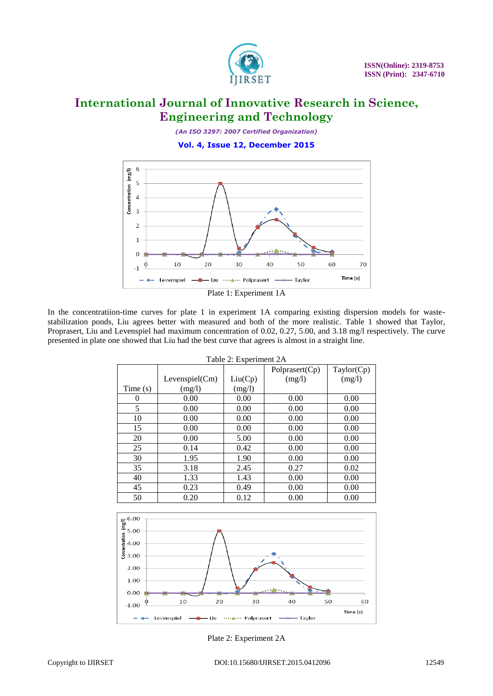

*(An ISO 3297: 2007 Certified Organization)*

**Vol. 4, Issue 12, December 2015**



In the concentratiion-time curves for plate 1 in experiment 1A comparing existing dispersion models for wastestabilization ponds, Liu agrees better with measured and both of the more realistic. Table 1 showed that Taylor, Proprasert, Liu and Levenspiel had maximum concentration of 0.02, 0.27, 5.00, and 3.18 mg/l respectively. The curve presented in plate one showed that Liu had the best curve that agrees is almost in a straight line.

|         | Table 2: Experiment 2A |         |                |            |  |  |
|---------|------------------------|---------|----------------|------------|--|--|
|         |                        |         | Polprasert(Cp) | Taylor(Cp) |  |  |
|         | Levenspiel(Cm)         | Liu(Cp) | (mg/l)         | (mg/l)     |  |  |
| Time(s) | (mg/l)                 | (mg/l)  |                |            |  |  |
| 0       | 0.00                   | 0.00    | 0.00           | 0.00       |  |  |
| 5       | 0.00                   | 0.00    | 0.00           | 0.00       |  |  |
| 10      | 0.00                   | 0.00    | 0.00           | 0.00       |  |  |
| 15      | 0.00                   | 0.00    | 0.00           | 0.00       |  |  |
| 20      | 0.00                   | 5.00    | 0.00           | 0.00       |  |  |
| 25      | 0.14                   | 0.42    | 0.00           | 0.00       |  |  |
| 30      | 1.95                   | 1.90    | 0.00           | 0.00       |  |  |
| 35      | 3.18                   | 2.45    | 0.27           | 0.02       |  |  |
| 40      | 1.33                   | 1.43    | 0.00           | 0.00       |  |  |
| 45      | 0.23                   | 0.49    | 0.00           | 0.00       |  |  |
| 50      | 0.20                   | 0.12    | 0.00           | 0.00       |  |  |



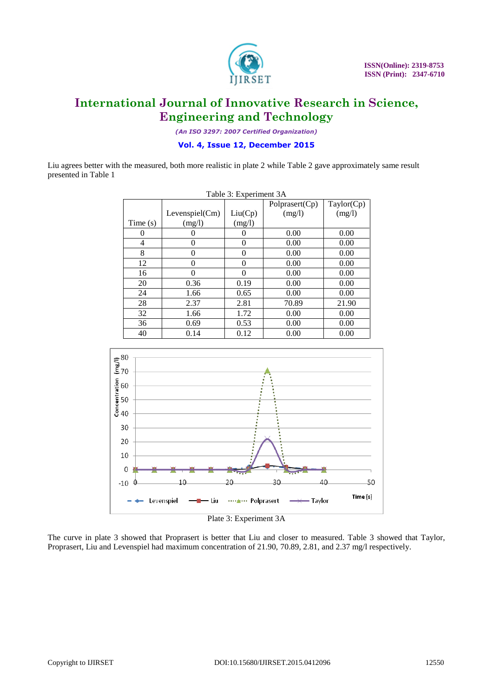

*(An ISO 3297: 2007 Certified Organization)*

**Vol. 4, Issue 12, December 2015**

Liu agrees better with the measured, both more realistic in plate 2 while Table 2 gave approximately same result presented in Table 1

|         | Table 3: Experiment 3A |          |                |            |  |  |
|---------|------------------------|----------|----------------|------------|--|--|
|         |                        |          | Polprasert(Cp) | Taylor(Cp) |  |  |
|         | Levenspiel(Cm)         | Liu(Cp)  | (mg/l)         | (mg/l)     |  |  |
| Time(s) | (mg/l)                 | (mg/l)   |                |            |  |  |
| 0       |                        |          | 0.00           | 0.00       |  |  |
| 4       | 0                      | 0        | 0.00           | 0.00       |  |  |
| 8       | $\Omega$               | $\Omega$ | 0.00           | 0.00       |  |  |
| 12      | 0                      | 0        | 0.00           | 0.00       |  |  |
| 16      | 0                      | 0        | 0.00           | 0.00       |  |  |
| 20      | 0.36                   | 0.19     | 0.00           | 0.00       |  |  |
| 24      | 1.66                   | 0.65     | 0.00           | 0.00       |  |  |
| 28      | 2.37                   | 2.81     | 70.89          | 21.90      |  |  |
| 32      | 1.66                   | 1.72     | 0.00           | 0.00       |  |  |
| 36      | 0.69                   | 0.53     | 0.00           | 0.00       |  |  |
| 40      | 0.14                   | 0.12     | 0.00           | 0.00       |  |  |



The curve in plate 3 showed that Proprasert is better that Liu and closer to measured. Table 3 showed that Taylor, Proprasert, Liu and Levenspiel had maximum concentration of 21.90, 70.89, 2.81, and 2.37 mg/l respectively.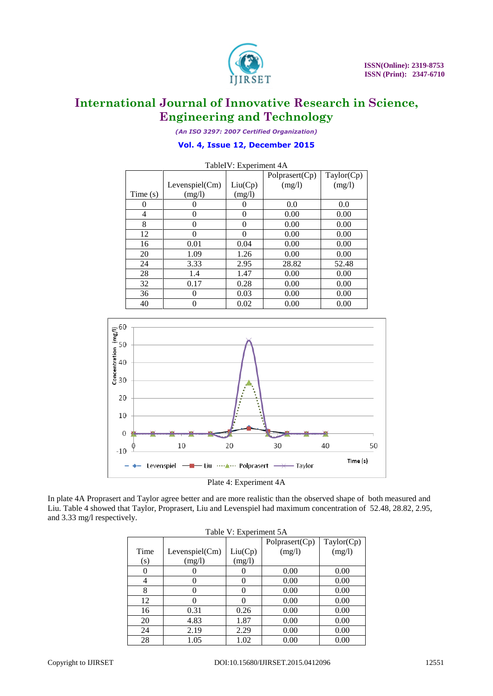

*(An ISO 3297: 2007 Certified Organization)*

#### **Vol. 4, Issue 12, December 2015**

| TableIV: Experiment 4A |                |          |                |            |  |
|------------------------|----------------|----------|----------------|------------|--|
|                        |                |          | Polprasert(Cp) | Taylor(Cp) |  |
|                        | Levenspiel(Cm) | Liu(Cp)  | (mg/l)         | (mg/l)     |  |
| Time $(s)$             | (mg/l)         | (mg/l)   |                |            |  |
| 0                      |                |          | 0.0            | 0.0        |  |
| 4                      | 0              | $\theta$ | 0.00           | 0.00       |  |
| 8                      | 0              | $\theta$ | 0.00           | 0.00       |  |
| 12                     | 0              |          | 0.00           | 0.00       |  |
| 16                     | 0.01           | 0.04     | 0.00           | 0.00       |  |
| 20                     | 1.09           | 1.26     | 0.00           | 0.00       |  |
| 24                     | 3.33           | 2.95     | 28.82          | 52.48      |  |
| 28                     | 1.4            | 1.47     | 0.00           | 0.00       |  |
| 32                     | 0.17           | 0.28     | 0.00           | 0.00       |  |
| 36                     | 0              | 0.03     | 0.00           | 0.00       |  |
| 40                     |                | 0.02     | 0.00           | 0.00       |  |



Plate 4: Experiment 4A

In plate 4A Proprasert and Taylor agree better and are more realistic than the observed shape of both measured and Liu. Table 4 showed that Taylor, Proprasert, Liu and Levenspiel had maximum concentration of 52.48, 28.82, 2.95, and 3.33 mg/l respectively.

|      | Table V. Experiment JA |         |                |            |  |  |
|------|------------------------|---------|----------------|------------|--|--|
|      |                        |         | Polprasert(Cp) | Taylor(Cp) |  |  |
| Time | Levenspiel(Cm)         | Liu(Cp) | (mg/l)         | (mg/l)     |  |  |
| (s)  | (mg/l)                 | (mg/l)  |                |            |  |  |
|      |                        |         | 0.00           | 0.00       |  |  |
| 4    |                        | 0       | 0.00           | 0.00       |  |  |
| 8    |                        | 0       | 0.00           | 0.00       |  |  |
| 12   |                        | 0       | 0.00           | 0.00       |  |  |
| 16   | 0.31                   | 0.26    | 0.00           | 0.00       |  |  |
| 20   | 4.83                   | 1.87    | 0.00           | 0.00       |  |  |
| 24   | 2.19                   | 2.29    | 0.00           | 0.00       |  |  |
| 28   | 1.05                   | 1.02    | 0.00           | 0.00       |  |  |

Table V: Experiment 5A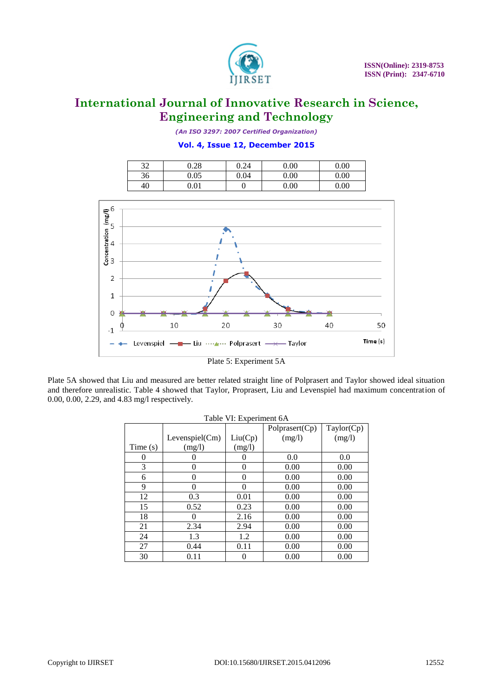

*(An ISO 3297: 2007 Certified Organization)*

#### **Vol. 4, Issue 12, December 2015**

| $\mathfrak{D}$<br>ىر | 0.28     | 0.24 | $0.00\,$ | $0.00\,$ |
|----------------------|----------|------|----------|----------|
| 36                   | 0.05     | 0.04 | $0.00\,$ | $0.00\,$ |
| 40                   | $0.01\,$ | v    | $0.00\,$ | 0.00     |



Plate 5: Experiment 5A

Plate 5A showed that Liu and measured are better related straight line of Polprasert and Taylor showed ideal situation and therefore unrealistic. Table 4 showed that Taylor, Proprasert, Liu and Levenspiel had maximum concentration of 0.00, 0.00, 2.29, and 4.83 mg/l respectively.

|         |                |          | Polprasert(Cp) | Taylor(Cp) |
|---------|----------------|----------|----------------|------------|
|         | Levenspiel(Cm) | Liu(Cp)  | (mg/l)         | (mg/l)     |
| Time(s) | (mg/l)         | (mg/l)   |                |            |
| 0       |                | $\theta$ | 0.0            | 0.0        |
| 3       | 0              | $\theta$ | 0.00           | 0.00       |
| 6       | 0              | $\theta$ | 0.00           | 0.00       |
| 9       | 0              | $\Omega$ | 0.00           | 0.00       |
| 12      | 0.3            | 0.01     | 0.00           | 0.00       |
| 15      | 0.52           | 0.23     | 0.00           | 0.00       |
| 18      |                | 2.16     | 0.00           | 0.00       |
| 21      | 2.34           | 2.94     | 0.00           | 0.00       |
| 24      | 1.3            | 1.2      | 0.00           | 0.00       |
| 27      | 0.44           | 0.11     | 0.00           | 0.00       |
| 30      | 0.11           | $\left($ | 0.00           | 0.00       |

|  | Table VI: Experiment 6A |
|--|-------------------------|
|  |                         |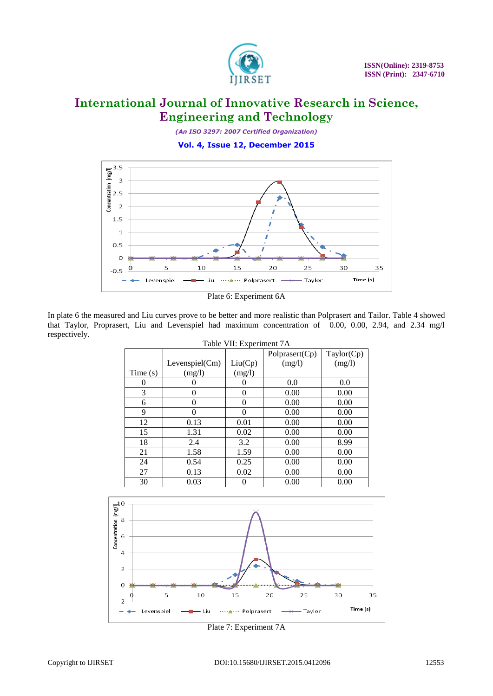

*(An ISO 3297: 2007 Certified Organization)*

**Vol. 4, Issue 12, December 2015**



Plate 6: Experiment 6A

In plate 6 the measured and Liu curves prove to be better and more realistic than Polprasert and Tailor. Table 4 showed that Taylor, Proprasert, Liu and Levenspiel had maximum concentration of 0.00, 0.00, 2.94, and 2.34 mg/l respectively.

|            | Table VII: Experiment 7A |         |                |            |  |  |
|------------|--------------------------|---------|----------------|------------|--|--|
|            |                          |         | Polprasert(Cp) | Taylor(Cp) |  |  |
|            | Levenspiel(Cm)           | Liu(Cp) | (mg/l)         | (mg/l)     |  |  |
| Time $(s)$ | (mg/l)                   | (mg/l)  |                |            |  |  |
| 0          |                          |         | 0.0            | 0.0        |  |  |
| 3          | 0                        | 0       | 0.00           | 0.00       |  |  |
| 6          | $\theta$                 | 0       | 0.00           | 0.00       |  |  |
| 9          | $\Omega$                 | 0       | 0.00           | 0.00       |  |  |
| 12         | 0.13                     | 0.01    | 0.00           | 0.00       |  |  |
| 15         | 1.31                     | 0.02    | 0.00           | 0.00       |  |  |
| 18         | 2.4                      | 3.2     | 0.00           | 8.99       |  |  |
| 21         | 1.58                     | 1.59    | 0.00           | 0.00       |  |  |
| 24         | 0.54                     | 0.25    | 0.00           | 0.00       |  |  |
| 27         | 0.13                     | 0.02    | 0.00           | 0.00       |  |  |
| 30         | 0.03                     |         | 0.00           | 0.00       |  |  |



Plate 7: Experiment 7A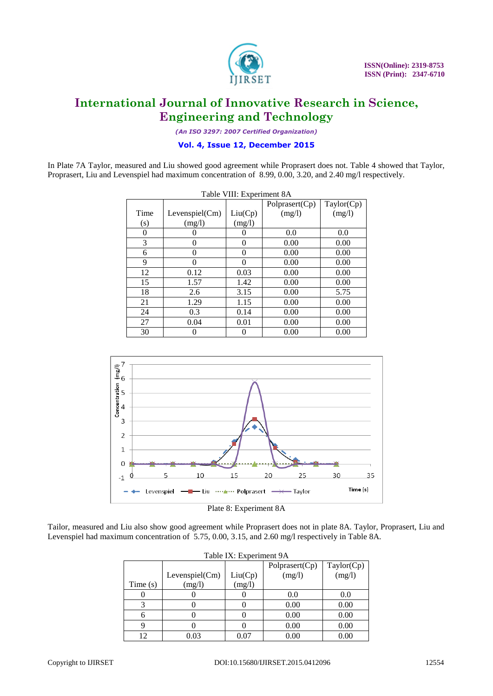

*(An ISO 3297: 2007 Certified Organization)*

#### **Vol. 4, Issue 12, December 2015**

In Plate 7A Taylor, measured and Liu showed good agreement while Proprasert does not. Table 4 showed that Taylor, Proprasert, Liu and Levenspiel had maximum concentration of 8.99, 0.00, 3.20, and 2.40 mg/l respectively.

| Table VIII: Experiment 8A |                |          |                |            |  |
|---------------------------|----------------|----------|----------------|------------|--|
|                           |                |          | Polprasert(Cp) | Taylor(Cp) |  |
| Time                      | Levenspiel(Cm) | Liu(Cp)  | (mg/l)         | (mg/l)     |  |
| (s)                       | (mg/l)         | (mg/l)   |                |            |  |
| $\Omega$                  |                | 0        | 0.0            | 0.0        |  |
| 3                         | $\theta$       | 0        | 0.00           | 0.00       |  |
| 6                         | $\theta$       | $\theta$ | 0.00           | 0.00       |  |
| 9                         | 0              | $\Omega$ | 0.00           | 0.00       |  |
| 12                        | 0.12           | 0.03     | 0.00           | 0.00       |  |
| 15                        | 1.57           | 1.42     | 0.00           | 0.00       |  |
| 18                        | 2.6            | 3.15     | 0.00           | 5.75       |  |
| 21                        | 1.29           | 1.15     | 0.00           | 0.00       |  |
| 24                        | 0.3            | 0.14     | 0.00           | 0.00       |  |
| 27                        | 0.04           | 0.01     | 0.00           | 0.00       |  |
| 30                        |                | 0        | 0.00           | 0.00       |  |



Tailor, measured and Liu also show good agreement while Proprasert does not in plate 8A. Taylor, Proprasert, Liu and Levenspiel had maximum concentration of 5.75, 0.00, 3.15, and 2.60 mg/l respectively in Table 8A.

| Table IX: Experiment 9A |                |         |                |            |  |
|-------------------------|----------------|---------|----------------|------------|--|
|                         |                |         | Polprasert(Cp) | Taylor(Cp) |  |
|                         | Levenspiel(Cm) | Liu(Cp) | (mg/l)         | (mg/l)     |  |
| Time $(s)$              | (mg/l)         | (mg/l)  |                |            |  |
|                         |                |         | 0.0            | 0.0        |  |
|                         |                |         | 0.00           | 0.00       |  |
| 6                       |                |         | 0.00           | 0.00       |  |
|                         |                |         | 0.00           | 0.00       |  |
| 1 າ                     | 0.03           | 0.07    | 0.00           | $0.00\,$   |  |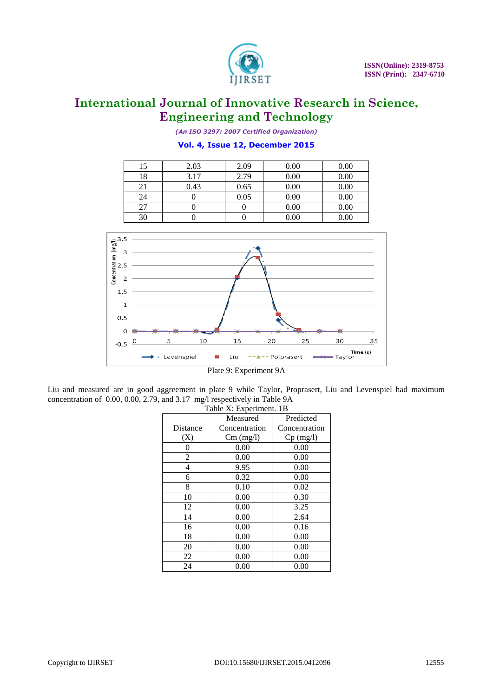

*(An ISO 3297: 2007 Certified Organization)*

#### **Vol. 4, Issue 12, December 2015**

| 15 | 2.03 | 2.09 | 0.00 | 0.00 |
|----|------|------|------|------|
| 18 | 3.17 | 2.79 | 0.00 | 0.00 |
| 21 | 0.43 | 0.65 | 0.00 | 0.00 |
| 24 |      | 0.05 | 0.00 | 0.00 |
| 27 |      |      | 0.00 | 0.00 |
| 30 |      |      | 0.00 | 0.00 |



Plate 9: Experiment 9A

Liu and measured are in good aggreement in plate 9 while Taylor, Proprasert, Liu and Levenspiel had maximum concentration of 0.00, 0.00, 2.79, and 3.17 mg/l respectively in Table 9A

| Table X: Experiment. 1B |               |               |  |
|-------------------------|---------------|---------------|--|
| Measured                |               | Predicted     |  |
| Distance                | Concentration | Concentration |  |
| (X)                     | $Cm$ (mg/l)   | $Cp$ (mg/l)   |  |
| 0                       | 0.00          | 0.00          |  |
| 2                       | 0.00          | 0.00          |  |
| 4                       | 9.95          | 0.00          |  |
| 6                       | 0.32          | 0.00          |  |
| 8                       | 0.10          | 0.02          |  |
| 10                      | 0.00          | 0.30          |  |
| 12                      | 0.00          | 3.25          |  |
| 14                      | 0.00          | 2.64          |  |
| 16                      | 0.00          | 0.16          |  |
| 18                      | 0.00          | 0.00          |  |
| 20                      | 0.00          | 0.00          |  |
| 22                      | 0.00          | 0.00          |  |
| 24                      | 0.00          | 0.00          |  |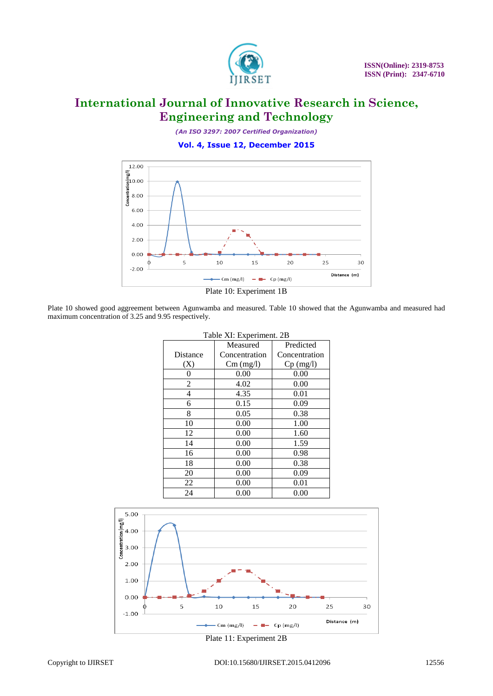

*(An ISO 3297: 2007 Certified Organization)*

**Vol. 4, Issue 12, December 2015**





Plate 10 showed good aggreement between Agunwamba and measured. Table 10 showed that the Agunwamba and measured had maximum concentration of 3.25 and 9.95 respectively.

| Table XI: Experiment. 2B |               |               |  |
|--------------------------|---------------|---------------|--|
|                          | Measured      | Predicted     |  |
| Distance                 | Concentration | Concentration |  |
| (X)                      | $Cm$ (mg/l)   | $Cp$ (mg/l)   |  |
| 0                        | 0.00          | 0.00          |  |
| $\overline{2}$           | 4.02          | 0.00          |  |
| 4                        | 4.35          | 0.01          |  |
| 6                        | 0.15          | 0.09          |  |
| 8                        | 0.05          | 0.38          |  |
| 10                       | 0.00          | 1.00          |  |
| 12                       | 0.00          | 1.60          |  |
| 14                       | 0.00          | 1.59          |  |
| 16                       | 0.00          | 0.98          |  |
| 18                       | 0.00          | 0.38          |  |
| 20                       | 0.00          | 0.09          |  |
| 22                       | 0.00          | 0.01          |  |
| 24                       | 0.00          | 0.00          |  |

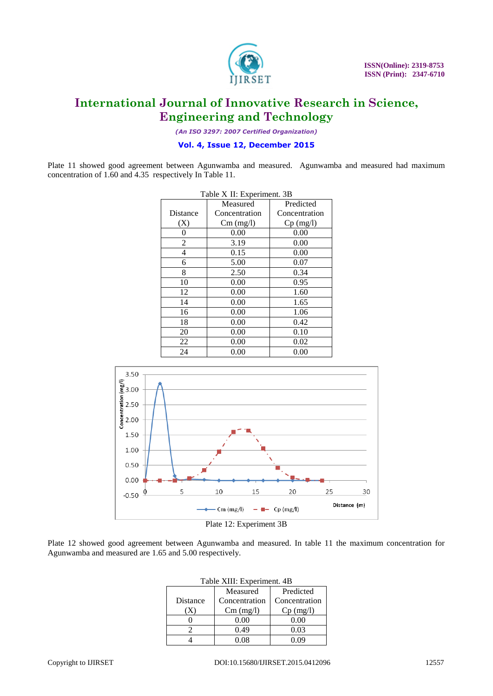

*(An ISO 3297: 2007 Certified Organization)*

#### **Vol. 4, Issue 12, December 2015**

Plate 11 showed good agreement between Agunwamba and measured. Agunwamba and measured had maximum concentration of 1.60 and 4.35 respectively In Table 11.

| Table X II: Experiment. 3B |               |               |  |
|----------------------------|---------------|---------------|--|
|                            | Measured      | Predicted     |  |
| Distance                   | Concentration | Concentration |  |
| (X)                        | $Cm$ (mg/l)   | $Cp$ (mg/l)   |  |
| $^{(1)}$                   | 0.00          | 0.00          |  |
| 2                          | 3.19          | 0.00          |  |
| 4                          | 0.15          | 0.00          |  |
| 6                          | 5.00          | 0.07          |  |
| 8                          | 2.50          | 0.34          |  |
| 10                         | 0.00          | 0.95          |  |
| 12                         | 0.00          | 1.60          |  |
| 14                         | 0.00          | 1.65          |  |
| 16                         | 0.00          | 1.06          |  |
| 18                         | 0.00          | 0.42          |  |
| 20                         | 0.00          | 0.10          |  |
| 22                         | 0.00          | 0.02          |  |
| 24                         | $0.00\,$      | $0.00\,$      |  |



Plate 12 showed good agreement between Agunwamba and measured. In table 11 the maximum concentration for Agunwamba and measured are 1.65 and 5.00 respectively.

| Table XIII: Experiment. 4B |               |               |  |
|----------------------------|---------------|---------------|--|
|                            | Measured      | Predicted     |  |
| Distance                   | Concentration | Concentration |  |
|                            | $Cm$ (mg/l)   | $Cp$ (mg/l)   |  |
|                            | 0.00          | 0.00          |  |
|                            | 0.49          | 0.03          |  |
|                            | ) በՋ          |               |  |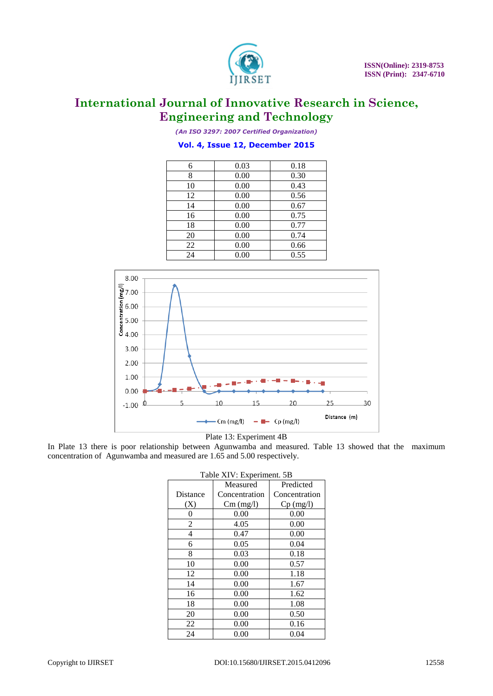

*(An ISO 3297: 2007 Certified Organization)*

#### **Vol. 4, Issue 12, December 2015**

| 6  | 0.03 | 0.18 |
|----|------|------|
| 8  | 0.00 | 0.30 |
| 10 | 0.00 | 0.43 |
| 12 | 0.00 | 0.56 |
| 14 | 0.00 | 0.67 |
| 16 | 0.00 | 0.75 |
| 18 | 0.00 | 0.77 |
| 20 | 0.00 | 0.74 |
| 22 | 0.00 | 0.66 |
| 24 | 0.00 | 0.55 |



Plate 13: Experiment 4B

In Plate 13 there is poor relationship between Agunwamba and measured. Table 13 showed that the maximum concentration of Agunwamba and measured are 1.65 and 5.00 respectively.

| Table XIV: Experiment. 5B |               |               |  |
|---------------------------|---------------|---------------|--|
| Measured                  |               | Predicted     |  |
| Distance                  | Concentration | Concentration |  |
| (X)                       | $Cm$ (mg/l)   | $Cp$ (mg/l)   |  |
| 0                         | 0.00          | 0.00          |  |
| 2                         | 4.05          | 0.00          |  |
| 4                         | 0.47          | 0.00          |  |
| 6                         | 0.05          | 0.04          |  |
| 8                         | 0.03          | 0.18          |  |
| 10                        | 0.00          | 0.57          |  |
| 12                        | 0.00          | 1.18          |  |
| 14                        | 0.00          | 1.67          |  |
| 16                        | 0.00          | 1.62          |  |
| 18                        | 0.00          | 1.08          |  |
| 20                        | 0.00          | 0.50          |  |
| 22                        | 0.00          | 0.16          |  |
| 24                        | 0.00          | 0.04          |  |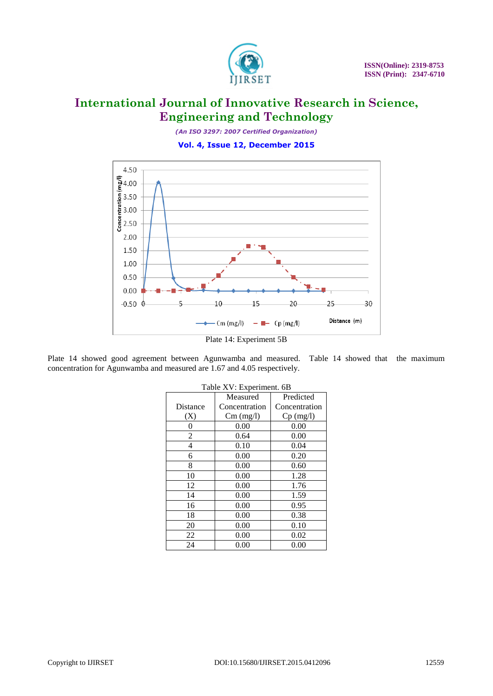

*(An ISO 3297: 2007 Certified Organization)*

**Vol. 4, Issue 12, December 2015**



Plate 14 showed good agreement between Agunwamba and measured. Table 14 showed that the maximum concentration for Agunwamba and measured are 1.67 and 4.05 respectively.

| Taon <i>I</i> V . Laperment. OD |               |               |  |
|---------------------------------|---------------|---------------|--|
|                                 | Measured      | Predicted     |  |
| Distance                        | Concentration | Concentration |  |
| (X)                             | $Cm$ (mg/l)   | $Cp$ (mg/l)   |  |
| 0                               | 0.00          | 0.00          |  |
| $\overline{2}$                  | 0.64          | 0.00          |  |
| 4                               | 0.10          | 0.04          |  |
| 6                               | 0.00          | 0.20          |  |
| 8                               | 0.00          | 0.60          |  |
| 10                              | 0.00          | 1.28          |  |
| 12                              | 0.00          | 1.76          |  |
| 14                              | 0.00          | 1.59          |  |
| 16                              | 0.00          | 0.95          |  |
| 18                              | 0.00          | 0.38          |  |
| 20                              | 0.00          | 0.10          |  |
| 22                              | 0.00          | 0.02          |  |
| 24                              | 0.00          | 0.00          |  |

|  | Table XV: Experiment. 6B |  |
|--|--------------------------|--|
|--|--------------------------|--|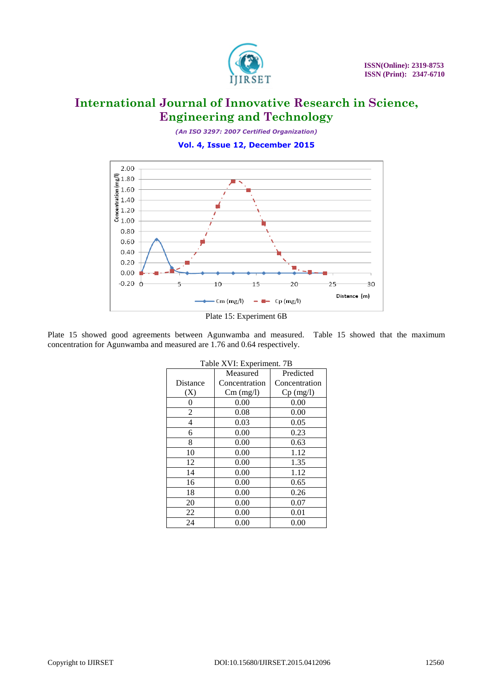

*(An ISO 3297: 2007 Certified Organization)*

**Vol. 4, Issue 12, December 2015**



Plate 15: Experiment 6B

Plate 15 showed good agreements between Agunwamba and measured. Table 15 showed that the maximum concentration for Agunwamba and measured are 1.76 and 0.64 respectively.

| Table XVI: Experiment. 7B |               |               |  |
|---------------------------|---------------|---------------|--|
| Measured                  |               | Predicted     |  |
| Distance                  | Concentration | Concentration |  |
| (X)                       | $Cm$ (mg/l)   | $Cp$ (mg/l)   |  |
| 0                         | 0.00          | 0.00          |  |
| 2                         | 0.08          | 0.00          |  |
| 4                         | 0.03          | 0.05          |  |
| 6                         | 0.00          | 0.23          |  |
| 8                         | 0.00          | 0.63          |  |
| 10                        | 0.00          | 1.12          |  |
| 12                        | 0.00          | 1.35          |  |
| 14                        | 0.00          | 1.12          |  |
| 16                        | 0.00          | 0.65          |  |
| 18                        | 0.00          | 0.26          |  |
| 20                        | 0.00          | 0.07          |  |
| 22                        | 0.00          | 0.01          |  |
| 24                        | 0.00          | 0.00          |  |

|  | Table XVI: Experiment. 7B |  |
|--|---------------------------|--|
|  |                           |  |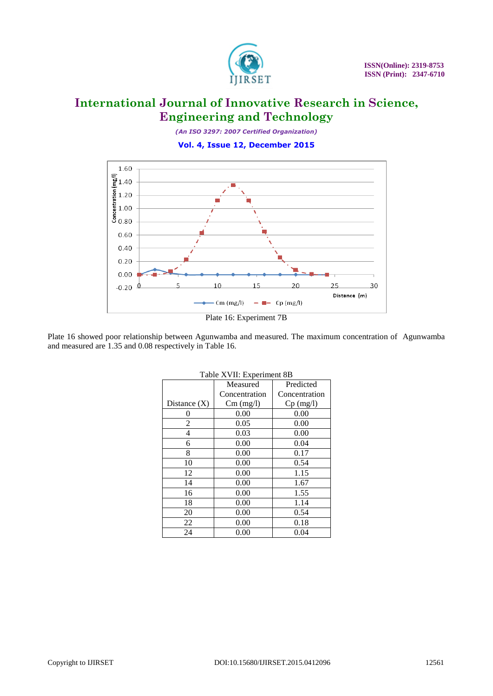

*(An ISO 3297: 2007 Certified Organization)*

**Vol. 4, Issue 12, December 2015**





Plate 16 showed poor relationship between Agunwamba and measured. The maximum concentration of Agunwamba and measured are 1.35 and 0.08 respectively in Table 16.

| Table XVII: Experiment 8B |               |               |  |
|---------------------------|---------------|---------------|--|
|                           | Measured      | Predicted     |  |
|                           | Concentration | Concentration |  |
| Distance $(X)$            | $Cm$ (mg/l)   | $Cp$ (mg/l)   |  |
| 0                         | 0.00          | 0.00          |  |
| 2                         | 0.05          | 0.00          |  |
| 4                         | 0.03          | 0.00          |  |
| 6                         | 0.00          | 0.04          |  |
| 8                         | 0.00          | 0.17          |  |
| 10                        | 0.00          | 0.54          |  |
| 12                        | 0.00          | 1.15          |  |
| 14                        | 0.00          | 1.67          |  |
| 16                        | 0.00          | 1.55          |  |
| 18                        | 0.00          | 1.14          |  |
| 20                        | 0.00          | 0.54          |  |
| 22                        | 0.00          | 0.18          |  |
| 24                        | 0.00          | 0.04          |  |

| Table XVII: Experiment 8B |
|---------------------------|
|---------------------------|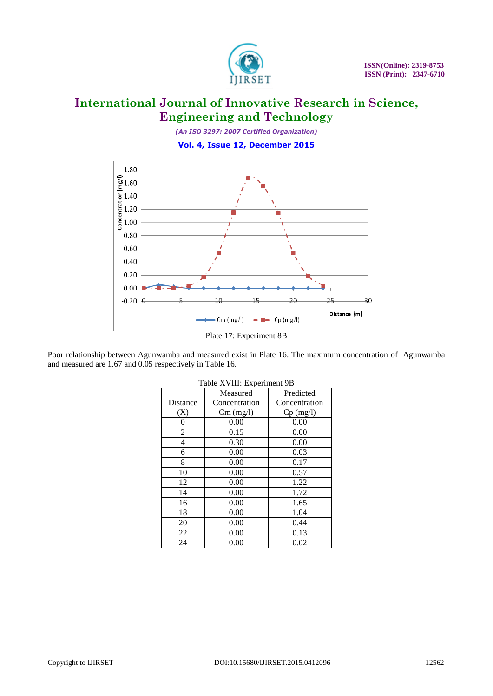

*(An ISO 3297: 2007 Certified Organization)*

**Vol. 4, Issue 12, December 2015**



Plate 17: Experiment 8B

Poor relationship between Agunwamba and measured exist in Plate 16. The maximum concentration of Agunwamba and measured are 1.67 and 0.05 respectively in Table 16.

| $1$ aule $\Lambda$ v III. Experiment 9D |               |               |
|-----------------------------------------|---------------|---------------|
|                                         | Measured      | Predicted     |
| Distance                                | Concentration | Concentration |
| (X)                                     | $Cm$ (mg/l)   | $Cp$ (mg/l)   |
| 0                                       | 0.00          | 0.00          |
| 2                                       | 0.15          | 0.00          |
| 4                                       | 0.30          | 0.00          |
| 6                                       | 0.00          | 0.03          |
| 8                                       | 0.00          | 0.17          |
| 10                                      | 0.00          | 0.57          |
| 12                                      | 0.00          | 1.22          |
| 14                                      | 0.00          | 1.72          |
| 16                                      | 0.00          | 1.65          |
| 18                                      | 0.00          | 1.04          |
| 20                                      | 0.00          | 0.44          |
| 22                                      | 0.00          | 0.13          |
| 24                                      | 0.00          | 0.02          |

| Table XVIII: Experiment 9B |
|----------------------------|
|----------------------------|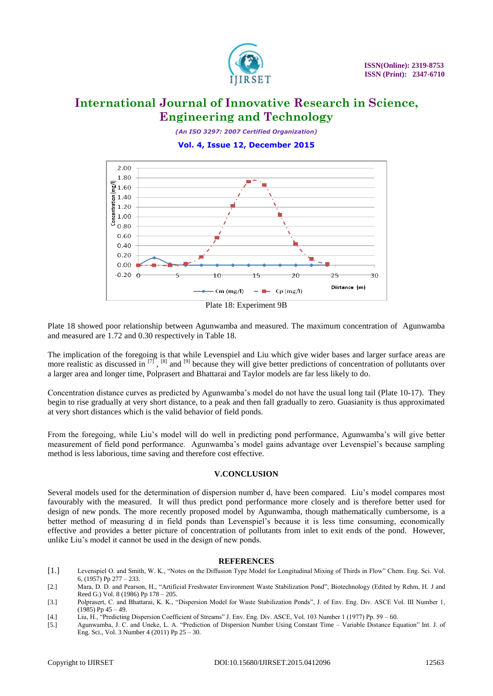

*(An ISO 3297: 2007 Certified Organization)*

#### **Vol. 4, Issue 12, December 2015**



Plate 18: Experiment 9B

Plate 18 showed poor relationship between Agunwamba and measured. The maximum concentration of Agunwamba and measured are 1.72 and 0.30 respectively in Table 18.

The implication of the foregoing is that while Levenspiel and Liu which give wider bases and larger surface areas are more realistic as discussed in  $\left[7\right]$ ,  $\left[8\right]$  and  $\left[9\right]$  because they will give better predictions of concentration of pollutants over a larger area and longer time, Polprasert and Bhattarai and Taylor models are far less likely to do.

Concentration distance curves as predicted by Agunwamba's model do not have the usual long tail (Plate 10-17). They begin to rise gradually at very short distance, to a peak and then fall gradually to zero. Guasianity is thus approximated at very short distances which is the valid behavior of field ponds.

From the foregoing, while Liu's model will do well in predicting pond performance, Agunwamba's will give better measurement of field pond performance. Agunwamba's model gains advantage over Levenspiel's because sampling method is less laborious, time saving and therefore cost effective.

#### **V.CONCLUSION**

Several models used for the determination of dispersion number d, have been compared. Liu's model compares most favourably with the measured. It will thus predict pond performance more closely and is therefore better used for design of new ponds. The more recently proposed model by Agunwamba, though mathematically cumbersome, is a better method of measuring d in field ponds than Levenspiel's because it is less time consuming, economically effective and provides a better picture of concentration of pollutants from inlet to exit ends of the pond. However, unlike Liu's model it cannot be used in the design of new ponds.

#### **REFERENCES**

- [1.] Levenspiel O. and Smith, W. K., "Notes on the Diffusion Type Model for Longitudinal Mixing of Thirds in Flow" Chem. Eng. Sci. Vol. 6, (1957) Pp 277 – 233.
- [2.] Mara, D. D. and Pearson, H., "Artificial Freshwater Environment Waste Stabilization Pond", Biotechnology (Edited by Rehm, H. J and Reed G.) Vol. 8 (1986) Pp 178 – 205.
- [3.] Polprasert, C. and Bhattarai, K. K., "Dispersion Model for Waste Stabilization Ponds", J. of Env. Eng. Div. ASCE Vol. III Number 1,  $(1985)$  Pp  $45 - 49$ .
- [4.] Liu, H., "Predicting Dispersion Coefficient of Streams" J. Env. Eng. Div. ASCE, Vol. 103 Number 1 (1977) Pp. 59 60.
- [5.] Agunwamba, J. C. and Uneke, L. A. "Prediction of Dispersion Number Using Constant Time Variable Distance Equation" Int. J. of Eng. Sci., Vol. 3 Number 4 (2011) Pp 25 – 30.